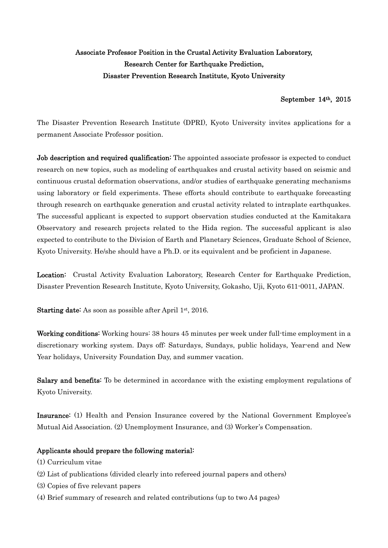## Associate Professor Position in the Crustal Activity Evaluation Laboratory, Research Center for Earthquake Prediction, Disaster Prevention Research Institute, Kyoto University

## September 14th, 2015

The Disaster Prevention Research Institute (DPRI), Kyoto University invites applications for a permanent Associate Professor position.

Job description and required qualification: The appointed associate professor is expected to conduct research on new topics, such as modeling of earthquakes and crustal activity based on seismic and continuous crustal deformation observations, and/or studies of earthquake generating mechanisms using laboratory or field experiments. These efforts should contribute to earthquake forecasting through research on earthquake generation and crustal activity related to intraplate earthquakes. The successful applicant is expected to support observation studies conducted at the Kamitakara Observatory and research projects related to the Hida region. The successful applicant is also expected to contribute to the Division of Earth and Planetary Sciences, Graduate School of Science, Kyoto University. He/she should have a Ph.D. or its equivalent and be proficient in Japanese.

Location: Crustal Activity Evaluation Laboratory, Research Center for Earthquake Prediction, Disaster Prevention Research Institute, Kyoto University, Gokasho, Uji, Kyoto 611-0011, JAPAN.

Starting date: As soon as possible after April 1st, 2016.

Working conditions: Working hours: 38 hours 45 minutes per week under full-time employment in a discretionary working system. Days off: Saturdays, Sundays, public holidays, Year-end and New Year holidays, University Foundation Day, and summer vacation.

Salary and benefits: To be determined in accordance with the existing employment regulations of Kyoto University.

Insurance: (1) Health and Pension Insurance covered by the National Government Employee's Mutual Aid Association. (2) Unemployment Insurance, and (3) Worker's Compensation.

## Applicants should prepare the following material:

- (1) Curriculum vitae
- (2) List of publications (divided clearly into refereed journal papers and others)
- (3) Copies of five relevant papers
- (4) Brief summary of research and related contributions (up to two A4 pages)